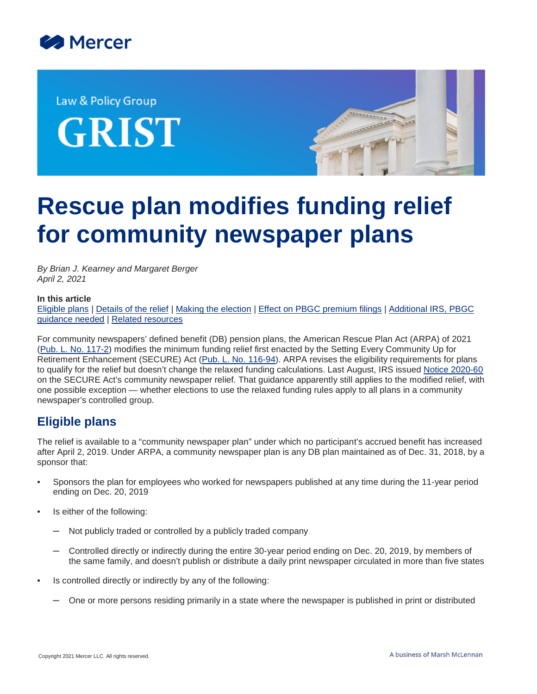

Law & Policy Group GRIST



# **Rescue plan modifies funding relief for community newspaper plans**

*By Brian J. Kearney and Margaret Berger April 2, 2021*

#### **In this article**

[Eligible plans](#page-0-0) | [Details of the relief](#page-1-0) | [Making the election](#page-2-0) | [Effect on PBGC premium filings](#page-3-0) | [Additional IRS, PBGC](#page-3-1) [guidance needed](#page-3-1) | [Related resources](#page-4-0)

For community newspapers' defined benefit (DB) pension plans, the American Rescue Plan Act (ARPA) of 2021 ([Pub. L. No. 117-2](https://www.congress.gov/117/bills/hr1319/BILLS-117hr1319enr.pdf)) modifies the minimum funding relief first enacted by the Setting Every Community Up for Retirement Enhancement (SECURE) Act [\(Pub. L. No. 116-94](https://www.congress.gov/116/bills/hr1865/BILLS-116hr1865enr.pdf#page=604)). ARPA revises the eligibility requirements for plans to qualify for the relief but doesn't change the relaxed funding calculations. Last August, IRS issued [Notice 2020-60](https://www.irs.gov/pub/irs-drop/n-20-60.pdf) on the SECURE Act's community newspaper relief. That guidance apparently still applies to the modified relief, with one possible exception — whether elections to use the relaxed funding rules apply to all plans in a community newspaper's controlled group.

## <span id="page-0-0"></span>**Eligible plans**

The relief is available to a "community newspaper plan" under which no participant's accrued benefit has increased after April 2, 2019. Under ARPA, a community newspaper plan is any DB plan maintained as of Dec. 31, 2018, by a sponsor that:

- Sponsors the plan for employees who worked for newspapers published at any time during the 11-year period ending on Dec. 20, 2019
- Is either of the following:
	- Not publicly traded or controlled by a publicly traded company
	- Controlled directly or indirectly during the entire 30-year period ending on Dec. 20, 2019, by members of the same family, and doesn't publish or distribute a daily print newspaper circulated in more than five states
- Is controlled directly or indirectly by any of the following:
	- One or more persons residing primarily in a state where the newspaper is published in print or distributed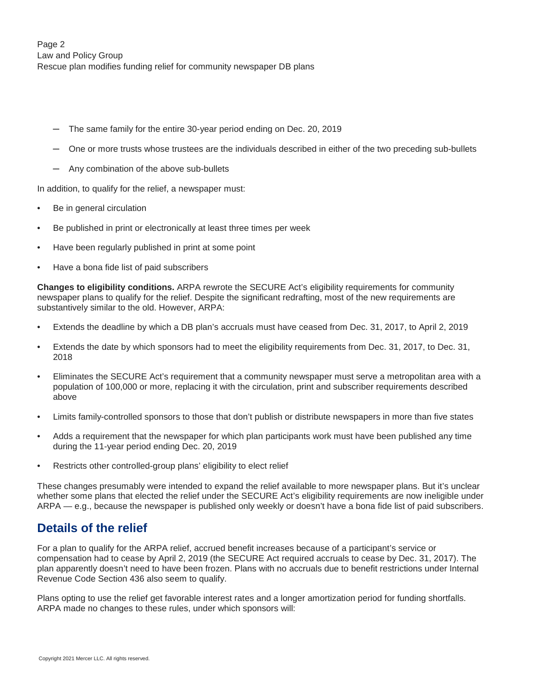Page 2 Law and Policy Group Rescue plan modifies funding relief for community newspaper DB plans

- ─ The same family for the entire 30-year period ending on Dec. 20, 2019
- ─ One or more trusts whose trustees are the individuals described in either of the two preceding sub-bullets
- ─ Any combination of the above sub-bullets

In addition, to qualify for the relief, a newspaper must:

- Be in general circulation
- Be published in print or electronically at least three times per week
- Have been regularly published in print at some point
- Have a bona fide list of paid subscribers

**Changes to eligibility conditions.** ARPA rewrote the SECURE Act's eligibility requirements for community newspaper plans to qualify for the relief. Despite the significant redrafting, most of the new requirements are substantively similar to the old. However, ARPA:

- Extends the deadline by which a DB plan's accruals must have ceased from Dec. 31, 2017, to April 2, 2019
- Extends the date by which sponsors had to meet the eligibility requirements from Dec. 31, 2017, to Dec. 31, 2018
- Eliminates the SECURE Act's requirement that a community newspaper must serve a metropolitan area with a population of 100,000 or more, replacing it with the circulation, print and subscriber requirements described above
- Limits family-controlled sponsors to those that don't publish or distribute newspapers in more than five states
- Adds a requirement that the newspaper for which plan participants work must have been published any time during the 11-year period ending Dec. 20, 2019
- Restricts other controlled-group plans' eligibility to elect relief

<span id="page-1-0"></span>These changes presumably were intended to expand the relief available to more newspaper plans. But it's unclear whether some plans that elected the relief under the SECURE Act's eligibility requirements are now ineligible under ARPA — e.g., because the newspaper is published only weekly or doesn't have a bona fide list of paid subscribers.

## **Details of the relief**

For a plan to qualify for the ARPA relief, accrued benefit increases because of a participant's service or compensation had to cease by April 2, 2019 (the SECURE Act required accruals to cease by Dec. 31, 2017). The plan apparently doesn't need to have been frozen. Plans with no accruals due to benefit restrictions under Internal Revenue Code Section 436 also seem to qualify.

Plans opting to use the relief get favorable interest rates and a longer amortization period for funding shortfalls. ARPA made no changes to these rules, under which sponsors will: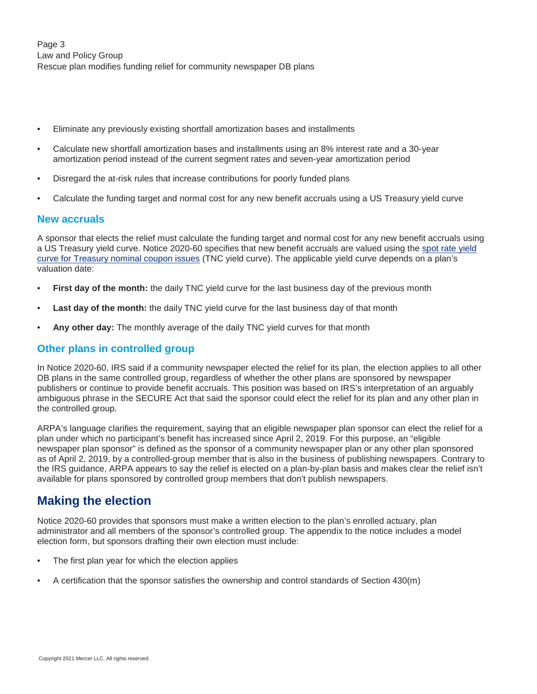- Eliminate any previously existing shortfall amortization bases and installments
- Calculate new shortfall amortization bases and installments using an 8% interest rate and a 30-year amortization period instead of the current segment rates and seven-year amortization period
- Disregard the at-risk rules that increase contributions for poorly funded plans
- Calculate the funding target and normal cost for any new benefit accruals using a US Treasury yield curve

#### **New accruals**

A sponsor that elects the relief must calculate the funding target and normal cost for any new benefit accruals using a US Treasury yield curve. Notice 2020-60 specifies that new benefit accruals are valued using the [spot rate yield](https://home.treasury.gov/data/treasury-coupon-issues-and-corporate-bond-yield-curves/treasury-coupon-issues) [curve for Treasury nominal coupon issues](https://home.treasury.gov/data/treasury-coupon-issues-and-corporate-bond-yield-curves/treasury-coupon-issues) (TNC yield curve). The applicable yield curve depends on a plan's valuation date:

- **First day of the month:** the daily TNC yield curve for the last business day of the previous month
- Last day of the month: the daily TNC yield curve for the last business day of that month
- **Any other day:** The monthly average of the daily TNC yield curves for that month

### **Other plans in controlled group**

In Notice 2020-60, IRS said if a community newspaper elected the relief for its plan, the election applies to all other DB plans in the same controlled group, regardless of whether the other plans are sponsored by newspaper publishers or continue to provide benefit accruals. This position was based on IRS's interpretation of an arguably ambiguous phrase in the SECURE Act that said the sponsor could elect the relief for its plan and any other plan in the controlled group.

ARPA's language clarifies the requirement, saying that an eligible newspaper plan sponsor can elect the relief for a plan under which no participant's benefit has increased since April 2, 2019. For this purpose, an "eligible newspaper plan sponsor" is defined as the sponsor of a community newspaper plan or any other plan sponsored as of April 2, 2019, by a controlled-group member that is also in the business of publishing newspapers. Contrary to the IRS guidance, ARPA appears to say the relief is elected on a plan-by-plan basis and makes clear the relief isn't available for plans sponsored by controlled group members that don't publish newspapers.

## <span id="page-2-0"></span>**Making the election**

Notice 2020-60 provides that sponsors must make a written election to the plan's enrolled actuary, plan administrator and all members of the sponsor's controlled group. The appendix to the notice includes a model election form, but sponsors drafting their own election must include:

- The first plan year for which the election applies
- A certification that the sponsor satisfies the ownership and control standards of Section 430(m)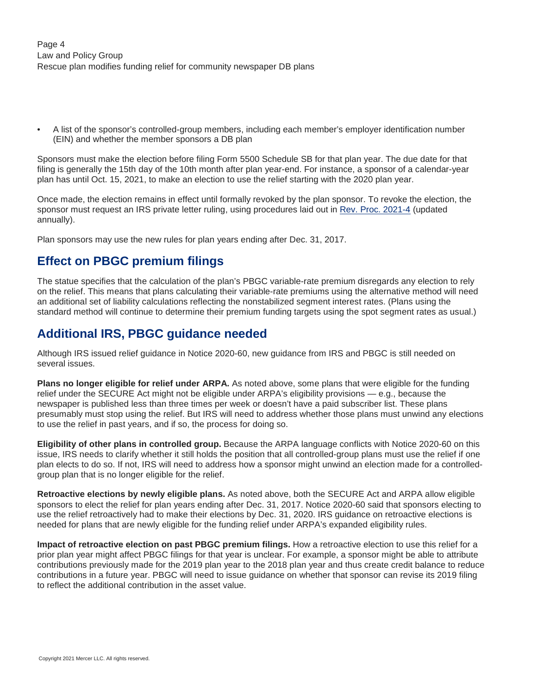• A list of the sponsor's controlled-group members, including each member's employer identification number (EIN) and whether the member sponsors a DB plan

Sponsors must make the election before filing Form 5500 Schedule SB for that plan year. The due date for that filing is generally the 15th day of the 10th month after plan year-end. For instance, a sponsor of a calendar-year plan has until Oct. 15, 2021, to make an election to use the relief starting with the 2020 plan year.

Once made, the election remains in effect until formally revoked by the plan sponsor. To revoke the election, the sponsor must request an IRS private letter ruling, using procedures laid out in [Rev. Proc. 2021-4](https://www.irs.gov/pub/irs-irbs/irb21-01.pdf#page=159) (updated annually).

Plan sponsors may use the new rules for plan years ending after Dec. 31, 2017.

# <span id="page-3-0"></span>**Effect on PBGC premium filings**

The statue specifies that the calculation of the plan's PBGC variable-rate premium disregards any election to rely on the relief. This means that plans calculating their variable-rate premiums using the alternative method will need an additional set of liability calculations reflecting the nonstabilized segment interest rates. (Plans using the standard method will continue to determine their premium funding targets using the spot segment rates as usual.)

# <span id="page-3-1"></span>**Additional IRS, PBGC guidance needed**

Although IRS issued relief guidance in Notice 2020-60, new guidance from IRS and PBGC is still needed on several issues.

**Plans no longer eligible for relief under ARPA.** As noted above, some plans that were eligible for the funding relief under the SECURE Act might not be eligible under ARPA's eligibility provisions — e.g., because the newspaper is published less than three times per week or doesn't have a paid subscriber list. These plans presumably must stop using the relief. But IRS will need to address whether those plans must unwind any elections to use the relief in past years, and if so, the process for doing so.

**Eligibility of other plans in controlled group.** Because the ARPA language conflicts with Notice 2020-60 on this issue, IRS needs to clarify whether it still holds the position that all controlled-group plans must use the relief if one plan elects to do so. If not, IRS will need to address how a sponsor might unwind an election made for a controlledgroup plan that is no longer eligible for the relief.

**Retroactive elections by newly eligible plans.** As noted above, both the SECURE Act and ARPA allow eligible sponsors to elect the relief for plan years ending after Dec. 31, 2017. Notice 2020-60 said that sponsors electing to use the relief retroactively had to make their elections by Dec. 31, 2020. IRS guidance on retroactive elections is needed for plans that are newly eligible for the funding relief under ARPA's expanded eligibility rules.

**Impact of retroactive election on past PBGC premium filings.** How a retroactive election to use this relief for a prior plan year might affect PBGC filings for that year is unclear. For example, a sponsor might be able to attribute contributions previously made for the 2019 plan year to the 2018 plan year and thus create credit balance to reduce contributions in a future year. PBGC will need to issue guidance on whether that sponsor can revise its 2019 filing to reflect the additional contribution in the asset value.